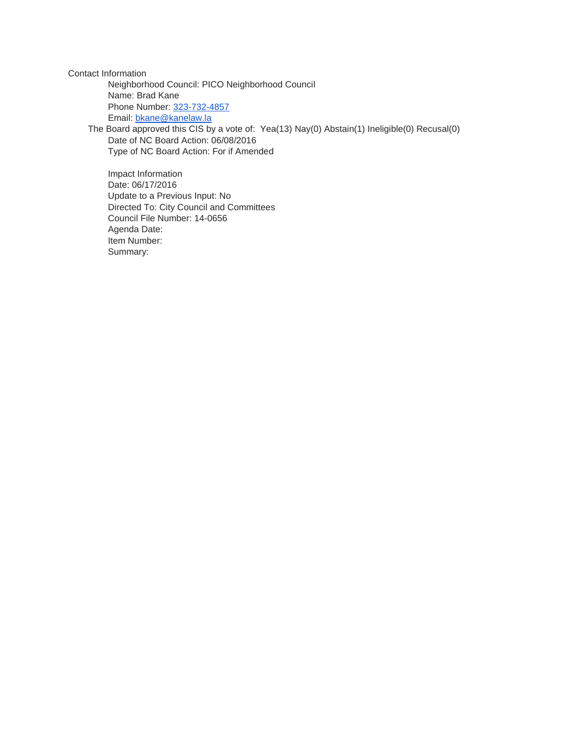Contact Information

Neighborhood Council: PICO Neighborhood Council Name: Brad Kane Phone Number: [323-732-4857](tel:323-732-4857) Email: [bkane@kanelaw.la](mailto:bkane@kanelaw.la)

The Board approved this CIS by a vote of: Yea(13) Nay(0) Abstain(1) Ineligible(0) Recusal(0) Date of NC Board Action: 06/08/2016 Type of NC Board Action: For if Amended

Impact Information Date: 06/17/2016 Update to a Previous Input: No Directed To: City Council and Committees Council File Number: 14-0656 Agenda Date: Item Number: Summary: